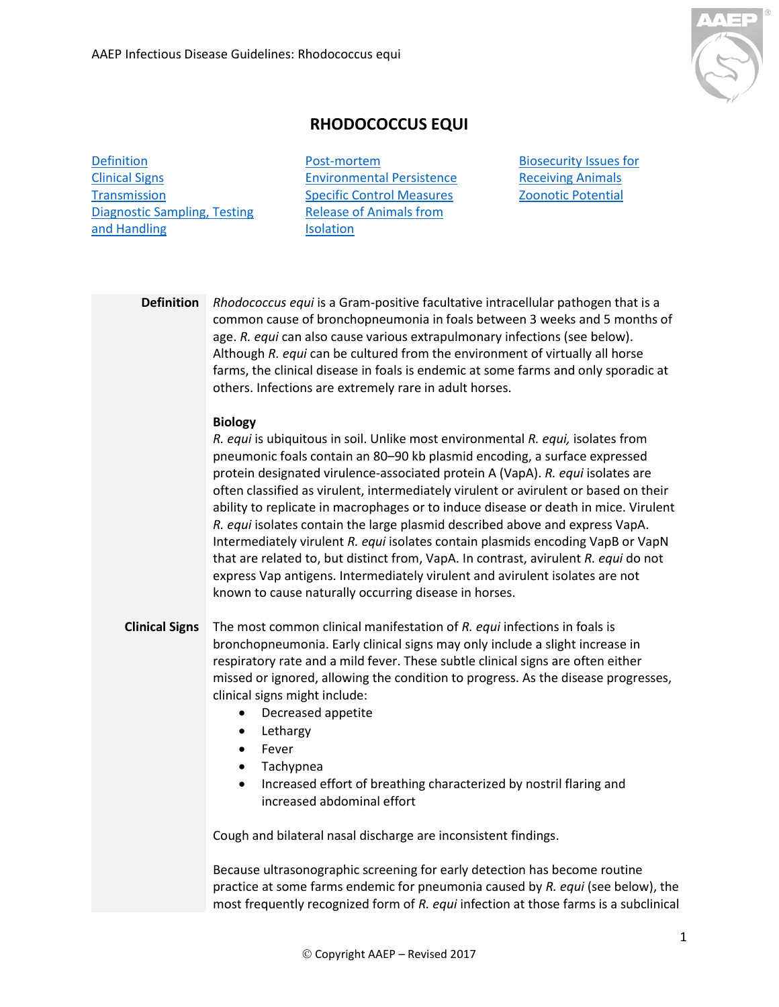

## **RHODOCOCCUS EQUI**

[Definition](#page-0-0) [Clinical Signs](#page-0-1) **[Transmission](#page-1-0)** [Diagnostic Sampling, Testing](#page-1-1)  [and Handling](#page-1-1)

[Post-mortem](#page-2-0) [Environmental Persistence](#page-2-1) [Specific Control Measures](#page-2-2) Release of [Animals from](#page-3-0) **[Isolation](#page-3-0)** 

[Biosecurity Issues for](#page-3-1)  [Receiving Animals](#page-3-1) [Zoonotic Potential](#page-4-0)

<span id="page-0-0"></span>**Definition** *Rhodococcus equi* is a Gram-positive facultative intracellular pathogen that is a common cause of bronchopneumonia in foals between 3 weeks and 5 months of age. *R. equi* can also cause various extrapulmonary infections (see below). Although *R. equi* can be cultured from the environment of virtually all horse farms, the clinical disease in foals is endemic at some farms and only sporadic at others. Infections are extremely rare in adult horses.

## **Biology**

*R. equi* is ubiquitous in soil. Unlike most environmental *R. equi,* isolates from pneumonic foals contain an 80–90 kb plasmid encoding, a surface expressed protein designated virulence-associated protein A (VapA). *R. equi* isolates are often classified as virulent, intermediately virulent or avirulent or based on their ability to replicate in macrophages or to induce disease or death in mice. Virulent *R. equi* isolates contain the large plasmid described above and express VapA. Intermediately virulent *R. equi* isolates contain plasmids encoding VapB or VapN that are related to, but distinct from, VapA. In contrast, avirulent *R. equi* do not express Vap antigens. Intermediately virulent and avirulent isolates are not known to cause naturally occurring disease in horses.

- <span id="page-0-1"></span>**Clinical Signs** The most common clinical manifestation of *R. equi* infections in foals is bronchopneumonia. Early clinical signs may only include a slight increase in respiratory rate and a mild fever. These subtle clinical signs are often either missed or ignored, allowing the condition to progress. As the disease progresses, clinical signs might include:
	- Decreased appetite
	- Lethargy
	- Fever
	- Tachypnea
	- Increased effort of breathing characterized by nostril flaring and increased abdominal effort

Cough and bilateral nasal discharge are inconsistent findings.

Because ultrasonographic screening for early detection has become routine practice at some farms endemic for pneumonia caused by *R. equi* (see below), the most frequently recognized form of *R. equi* infection at those farms is a subclinical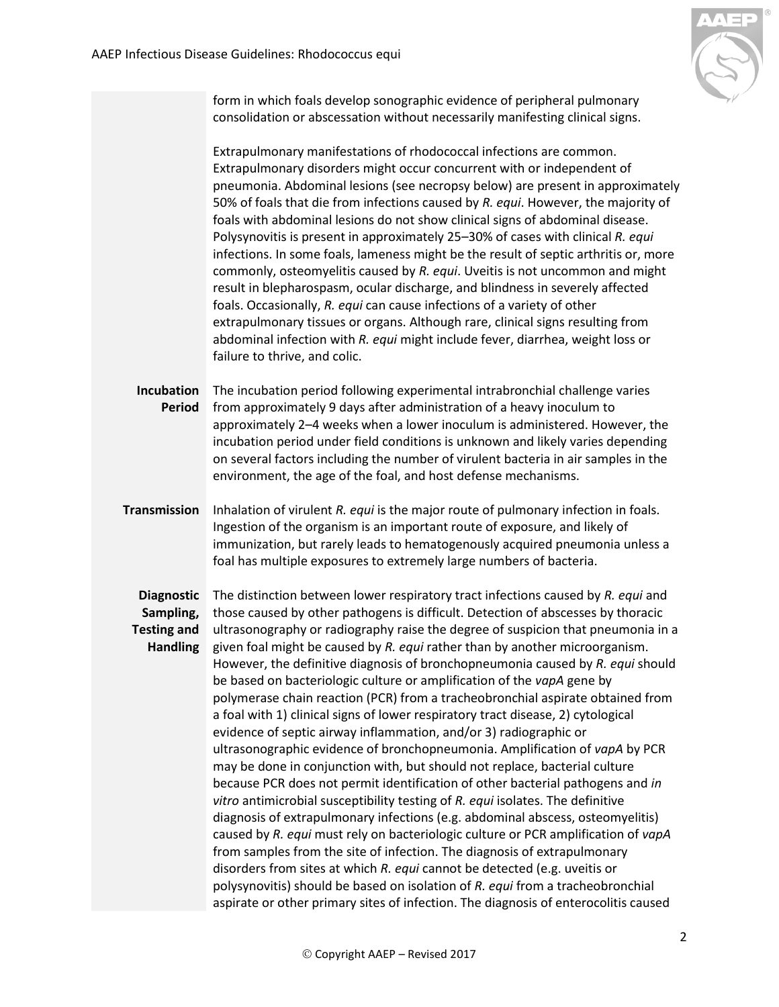

form in which foals develop sonographic evidence of peripheral pulmonary consolidation or abscessation without necessarily manifesting clinical signs.

Extrapulmonary manifestations of rhodococcal infections are common. Extrapulmonary disorders might occur concurrent with or independent of pneumonia. Abdominal lesions (see necropsy below) are present in approximately 50% of foals that die from infections caused by *R. equi*. However, the majority of foals with abdominal lesions do not show clinical signs of abdominal disease. Polysynovitis is present in approximately 25–30% of cases with clinical *R. equi* infections. In some foals, lameness might be the result of septic arthritis or, more commonly, osteomyelitis caused by *R. equi*. Uveitis is not uncommon and might result in blepharospasm, ocular discharge, and blindness in severely affected foals. Occasionally, *R. equi* can cause infections of a variety of other extrapulmonary tissues or organs. Although rare, clinical signs resulting from abdominal infection with *R. equi* might include fever, diarrhea, weight loss or failure to thrive, and colic.

Incubation The incubation period following experimental intrabronchial challenge varies **Period** from approximately 9 days after administration of a heavy inoculum to approximately 2–4 weeks when a lower inoculum is administered. However, the incubation period under field conditions is unknown and likely varies depending on several factors including the number of virulent bacteria in air samples in the environment, the age of the foal, and host defense mechanisms.

<span id="page-1-0"></span>**Transmission** Inhalation of virulent *R. equi* is the major route of pulmonary infection in foals. Ingestion of the organism is an important route of exposure, and likely of immunization, but rarely leads to hematogenously acquired pneumonia unless a foal has multiple exposures to extremely large numbers of bacteria.

## <span id="page-1-1"></span>**Sampling,**

**Diagnostic**  The distinction between lower respiratory tract infections caused by *R. equi* and **Testing and**  ultrasonography or radiography raise the degree of suspicion that pneumonia in a **Handling** given foal might be caused by *R. equi* rather than by another microorganism. those caused by other pathogens is difficult. Detection of abscesses by thoracic However, the definitive diagnosis of bronchopneumonia caused by *R. equi* should be based on bacteriologic culture or amplification of the *vapA* gene by polymerase chain reaction (PCR) from a tracheobronchial aspirate obtained from a foal with 1) clinical signs of lower respiratory tract disease, 2) cytological evidence of septic airway inflammation, and/or 3) radiographic or ultrasonographic evidence of bronchopneumonia. Amplification of *vapA* by PCR may be done in conjunction with, but should not replace, bacterial culture because PCR does not permit identification of other bacterial pathogens and *in vitro* antimicrobial susceptibility testing of *R. equi* isolates. The definitive diagnosis of extrapulmonary infections (e.g. abdominal abscess, osteomyelitis) caused by *R. equi* must rely on bacteriologic culture or PCR amplification of *vapA* from samples from the site of infection. The diagnosis of extrapulmonary disorders from sites at which *R. equi* cannot be detected (e.g. uveitis or polysynovitis) should be based on isolation of *R. equi* from a tracheobronchial aspirate or other primary sites of infection. The diagnosis of enterocolitis caused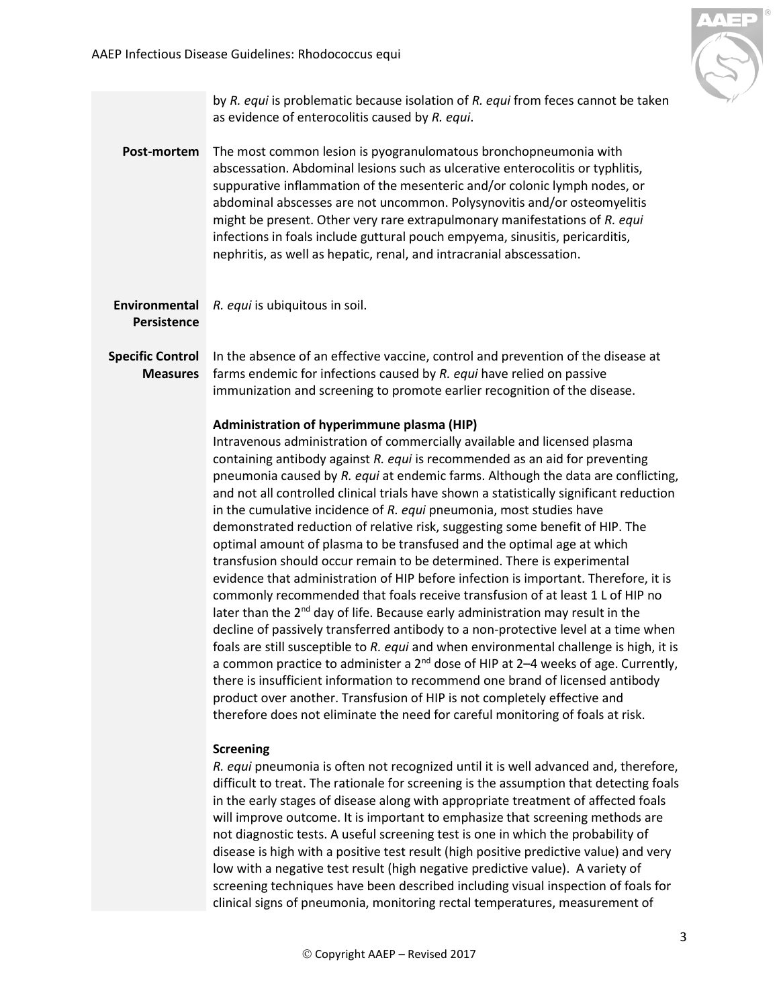

<span id="page-2-2"></span><span id="page-2-1"></span><span id="page-2-0"></span>

|                                            | by R. equi is problematic because isolation of R. equi from feces cannot be taken<br>as evidence of enterocolitis caused by R. equi.                                                                                                                                                                                                                                                                                                                                                                                                                                                                                                                                                                                                                                                                                                                                                                                                                                                                                                                                                                                                                                                                                                                                                                                                                                                                                                                                                                                                                                                                       |
|--------------------------------------------|------------------------------------------------------------------------------------------------------------------------------------------------------------------------------------------------------------------------------------------------------------------------------------------------------------------------------------------------------------------------------------------------------------------------------------------------------------------------------------------------------------------------------------------------------------------------------------------------------------------------------------------------------------------------------------------------------------------------------------------------------------------------------------------------------------------------------------------------------------------------------------------------------------------------------------------------------------------------------------------------------------------------------------------------------------------------------------------------------------------------------------------------------------------------------------------------------------------------------------------------------------------------------------------------------------------------------------------------------------------------------------------------------------------------------------------------------------------------------------------------------------------------------------------------------------------------------------------------------------|
| Post-mortem                                | The most common lesion is pyogranulomatous bronchopneumonia with<br>abscessation. Abdominal lesions such as ulcerative enterocolitis or typhlitis,<br>suppurative inflammation of the mesenteric and/or colonic lymph nodes, or<br>abdominal abscesses are not uncommon. Polysynovitis and/or osteomyelitis<br>might be present. Other very rare extrapulmonary manifestations of R. equi<br>infections in foals include guttural pouch empyema, sinusitis, pericarditis,<br>nephritis, as well as hepatic, renal, and intracranial abscessation.                                                                                                                                                                                                                                                                                                                                                                                                                                                                                                                                                                                                                                                                                                                                                                                                                                                                                                                                                                                                                                                          |
| Environmental<br><b>Persistence</b>        | R. equi is ubiquitous in soil.                                                                                                                                                                                                                                                                                                                                                                                                                                                                                                                                                                                                                                                                                                                                                                                                                                                                                                                                                                                                                                                                                                                                                                                                                                                                                                                                                                                                                                                                                                                                                                             |
| <b>Specific Control</b><br><b>Measures</b> | In the absence of an effective vaccine, control and prevention of the disease at<br>farms endemic for infections caused by R. equi have relied on passive<br>immunization and screening to promote earlier recognition of the disease.                                                                                                                                                                                                                                                                                                                                                                                                                                                                                                                                                                                                                                                                                                                                                                                                                                                                                                                                                                                                                                                                                                                                                                                                                                                                                                                                                                     |
|                                            | Administration of hyperimmune plasma (HIP)<br>Intravenous administration of commercially available and licensed plasma<br>containing antibody against R. equi is recommended as an aid for preventing<br>pneumonia caused by R. equi at endemic farms. Although the data are conflicting,<br>and not all controlled clinical trials have shown a statistically significant reduction<br>in the cumulative incidence of R. equi pneumonia, most studies have<br>demonstrated reduction of relative risk, suggesting some benefit of HIP. The<br>optimal amount of plasma to be transfused and the optimal age at which<br>transfusion should occur remain to be determined. There is experimental<br>evidence that administration of HIP before infection is important. Therefore, it is<br>commonly recommended that foals receive transfusion of at least 1 L of HIP no<br>later than the 2 <sup>nd</sup> day of life. Because early administration may result in the<br>decline of passively transferred antibody to a non-protective level at a time when<br>foals are still susceptible to R. equi and when environmental challenge is high, it is<br>a common practice to administer a $2^{nd}$ dose of HIP at 2-4 weeks of age. Currently,<br>there is insufficient information to recommend one brand of licensed antibody<br>product over another. Transfusion of HIP is not completely effective and<br>therefore does not eliminate the need for careful monitoring of foals at risk.<br><b>Screening</b><br>R. equi pneumonia is often not recognized until it is well advanced and, therefore, |
|                                            | difficult to treat. The rationale for screening is the assumption that detecting foals<br>in the early stages of disease along with appropriate treatment of affected foals<br>will improve outcome. It is important to emphasize that screening methods are<br>not diagnostic tests. A useful screening test is one in which the probability of<br>disease is high with a positive test result (high positive predictive value) and very                                                                                                                                                                                                                                                                                                                                                                                                                                                                                                                                                                                                                                                                                                                                                                                                                                                                                                                                                                                                                                                                                                                                                                  |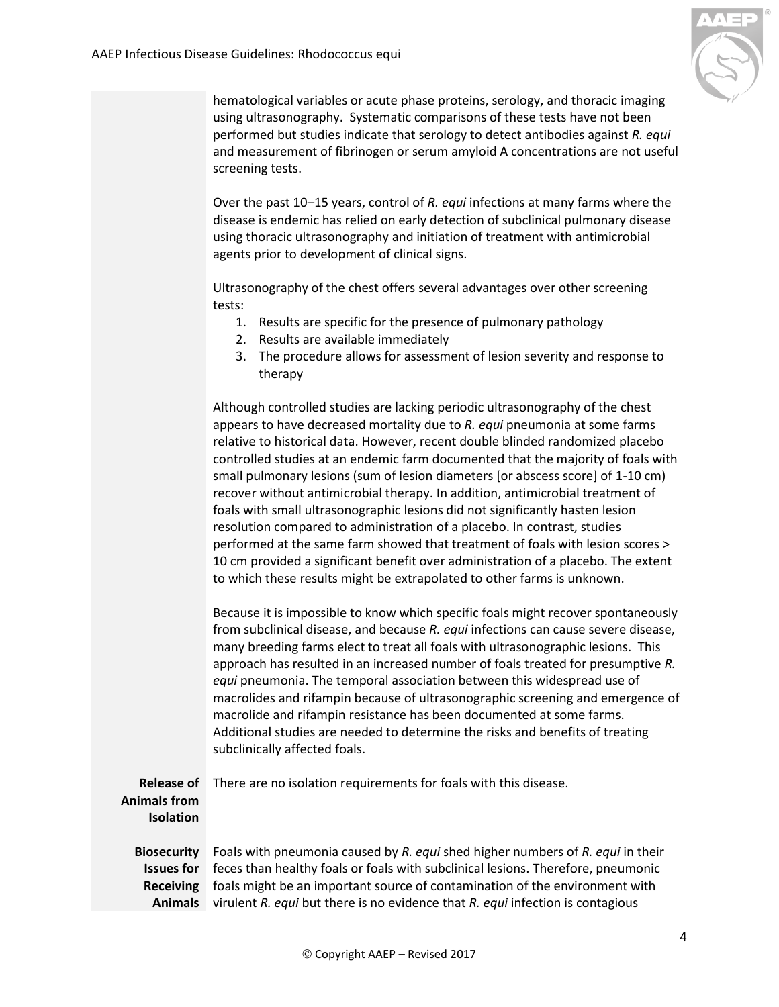

hematological variables or acute phase proteins, serology, and thoracic imaging using ultrasonography. Systematic comparisons of these tests have not been performed but studies indicate that serology to detect antibodies against *R. equi* and measurement of fibrinogen or serum amyloid A concentrations are not useful screening tests.

Over the past 10–15 years, control of *R. equi* infections at many farms where the disease is endemic has relied on early detection of subclinical pulmonary disease using thoracic ultrasonography and initiation of treatment with antimicrobial agents prior to development of clinical signs.

Ultrasonography of the chest offers several advantages over other screening tests:

- 1. Results are specific for the presence of pulmonary pathology
- 2. Results are available immediately
- 3. The procedure allows for assessment of lesion severity and response to therapy

Although controlled studies are lacking periodic ultrasonography of the chest appears to have decreased mortality due to *R. equi* pneumonia at some farms relative to historical data. However, recent double blinded randomized placebo controlled studies at an endemic farm documented that the majority of foals with small pulmonary lesions (sum of lesion diameters [or abscess score] of 1-10 cm) recover without antimicrobial therapy. In addition, antimicrobial treatment of foals with small ultrasonographic lesions did not significantly hasten lesion resolution compared to administration of a placebo. In contrast, studies performed at the same farm showed that treatment of foals with lesion scores > 10 cm provided a significant benefit over administration of a placebo. The extent to which these results might be extrapolated to other farms is unknown.

Because it is impossible to know which specific foals might recover spontaneously from subclinical disease, and because *R. equi* infections can cause severe disease, many breeding farms elect to treat all foals with ultrasonographic lesions. This approach has resulted in an increased number of foals treated for presumptive *R. equi* pneumonia. The temporal association between this widespread use of macrolides and rifampin because of ultrasonographic screening and emergence of macrolide and rifampin resistance has been documented at some farms. Additional studies are needed to determine the risks and benefits of treating subclinically affected foals.

<span id="page-3-1"></span><span id="page-3-0"></span>**Release of**  There are no isolation requirements for foals with this disease. **Animals from Isolation Biosecurity**  Foals with pneumonia caused by *R. equi* shed higher numbers of *R. equi* in their **Issues for**  feces than healthy foals or foals with subclinical lesions. Therefore, pneumonic **Receiving**  foals might be an important source of contamination of the environment with

**Animals** virulent *R. equi* but there is no evidence that *R. equi* infection is contagious